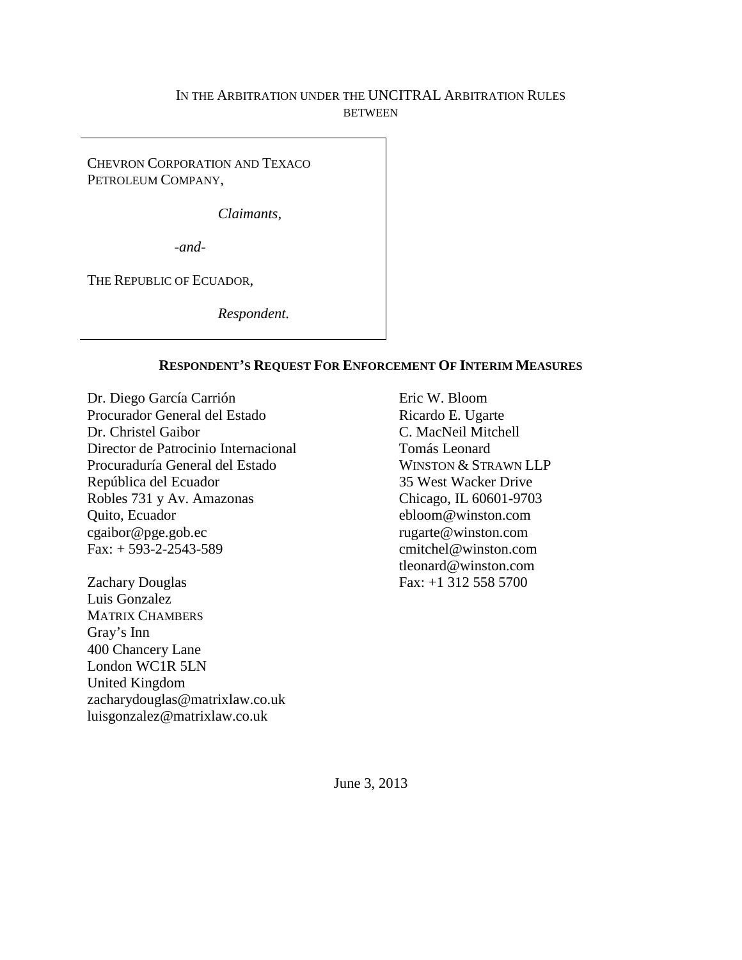## IN THE ARBITRATION UNDER THE UNCITRAL ARBITRATION RULES **BETWEEN**

CHEVRON CORPORATION AND TEXACO PETROLEUM COMPANY,

*Claimants,*

*-and-*

THE REPUBLIC OF ECUADOR,

*Respondent.*

### **RESPONDENT'S REQUEST FOR ENFORCEMENT OF INTERIM MEASURES**

Dr. Diego García Carrión Procurador General del Estado Dr. Christel Gaibor Director de Patrocinio Internacional Procuraduría General del Estado República del Ecuador Robles 731 y Av. Amazonas Quito, Ecuador cgaibor@pge.gob.ec  $Fax: + 593 - 2 - 2543 - 589$ 

Zachary Douglas Luis Gonzalez MATRIX CHAMBERS Gray's Inn 400 Chancery Lane London WC1R 5LN United Kingdom zacharydouglas@matrixlaw.co.uk luisgonzalez@matrixlaw.co.uk

Eric W. Bloom Ricardo E. Ugarte C. MacNeil Mitchell Tomás Leonard WINSTON & STRAWN LLP 35 West Wacker Drive Chicago, IL 60601-9703 ebloom@winston.com rugarte@winston.com cmitchel@winston.com tleonard@winston.com Fax: +1 312 558 5700

June 3, 2013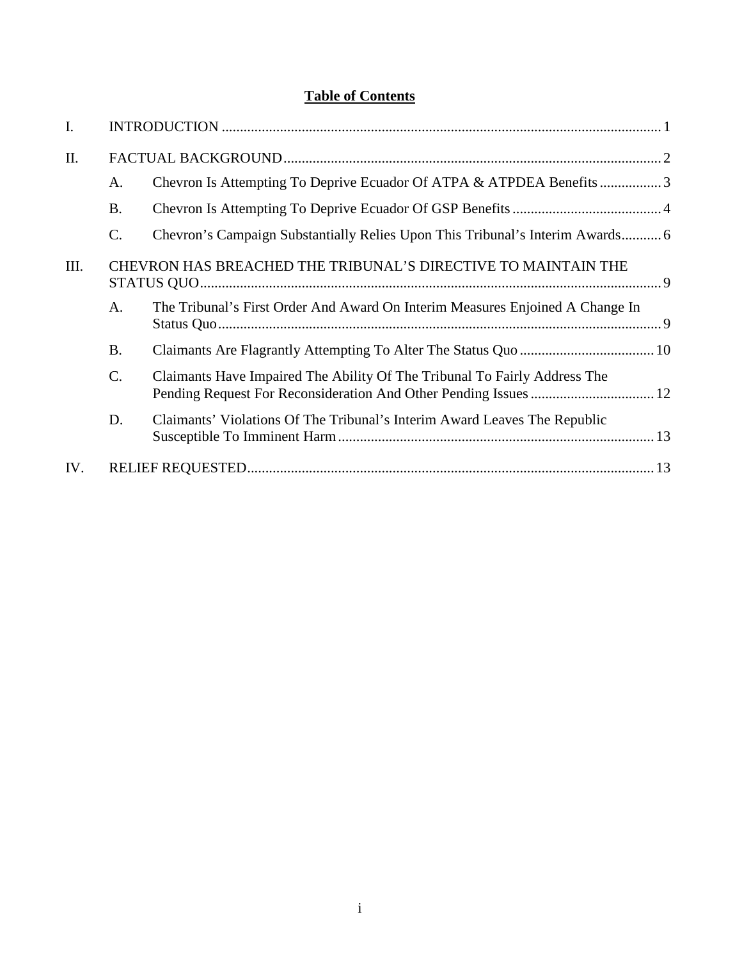# **Table of Contents**

| I.   |                                                               |                                                                               |  |
|------|---------------------------------------------------------------|-------------------------------------------------------------------------------|--|
| II.  |                                                               |                                                                               |  |
|      | A.                                                            | Chevron Is Attempting To Deprive Ecuador Of ATPA & ATPDEA Benefits3           |  |
|      | <b>B.</b>                                                     |                                                                               |  |
|      | C.                                                            | Chevron's Campaign Substantially Relies Upon This Tribunal's Interim Awards 6 |  |
| III. | CHEVRON HAS BREACHED THE TRIBUNAL'S DIRECTIVE TO MAINTAIN THE |                                                                               |  |
|      | A.                                                            | The Tribunal's First Order And Award On Interim Measures Enjoined A Change In |  |
|      | <b>B.</b>                                                     |                                                                               |  |
|      | C.                                                            | Claimants Have Impaired The Ability Of The Tribunal To Fairly Address The     |  |
|      | D.                                                            | Claimants' Violations Of The Tribunal's Interim Award Leaves The Republic     |  |
| IV.  |                                                               |                                                                               |  |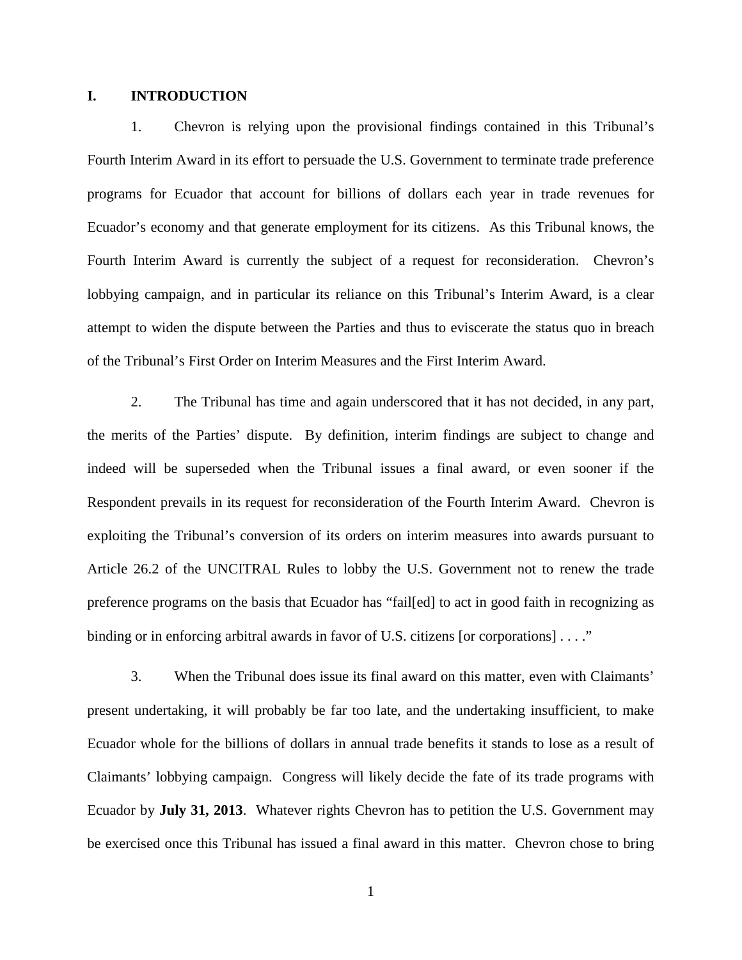### **I. INTRODUCTION**

1. Chevron is relying upon the provisional findings contained in this Tribunal's Fourth Interim Award in its effort to persuade the U.S. Government to terminate trade preference programs for Ecuador that account for billions of dollars each year in trade revenues for Ecuador's economy and that generate employment for its citizens. As this Tribunal knows, the Fourth Interim Award is currently the subject of a request for reconsideration. Chevron's lobbying campaign, and in particular its reliance on this Tribunal's Interim Award, is a clear attempt to widen the dispute between the Parties and thus to eviscerate the status quo in breach of the Tribunal's First Order on Interim Measures and the First Interim Award.

2. The Tribunal has time and again underscored that it has not decided, in any part, the merits of the Parties' dispute. By definition, interim findings are subject to change and indeed will be superseded when the Tribunal issues a final award, or even sooner if the Respondent prevails in its request for reconsideration of the Fourth Interim Award. Chevron is exploiting the Tribunal's conversion of its orders on interim measures into awards pursuant to Article 26.2 of the UNCITRAL Rules to lobby the U.S. Government not to renew the trade preference programs on the basis that Ecuador has "fail[ed] to act in good faith in recognizing as binding or in enforcing arbitral awards in favor of U.S. citizens [or corporations] . . . ."

3. When the Tribunal does issue its final award on this matter, even with Claimants' present undertaking, it will probably be far too late, and the undertaking insufficient, to make Ecuador whole for the billions of dollars in annual trade benefits it stands to lose as a result of Claimants' lobbying campaign. Congress will likely decide the fate of its trade programs with Ecuador by **July 31, 2013**. Whatever rights Chevron has to petition the U.S. Government may be exercised once this Tribunal has issued a final award in this matter. Chevron chose to bring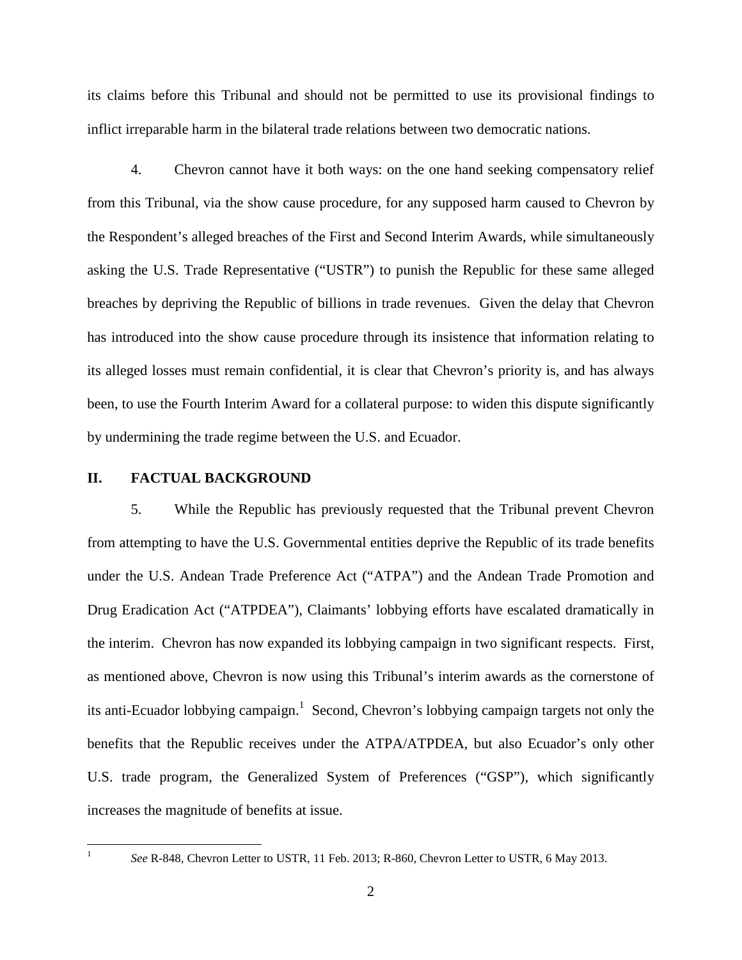its claims before this Tribunal and should not be permitted to use its provisional findings to inflict irreparable harm in the bilateral trade relations between two democratic nations.

4. Chevron cannot have it both ways: on the one hand seeking compensatory relief from this Tribunal, via the show cause procedure, for any supposed harm caused to Chevron by the Respondent's alleged breaches of the First and Second Interim Awards, while simultaneously asking the U.S. Trade Representative ("USTR") to punish the Republic for these same alleged breaches by depriving the Republic of billions in trade revenues. Given the delay that Chevron has introduced into the show cause procedure through its insistence that information relating to its alleged losses must remain confidential, it is clear that Chevron's priority is, and has always been, to use the Fourth Interim Award for a collateral purpose: to widen this dispute significantly by undermining the trade regime between the U.S. and Ecuador.

#### **II. FACTUAL BACKGROUND**

5. While the Republic has previously requested that the Tribunal prevent Chevron from attempting to have the U.S. Governmental entities deprive the Republic of its trade benefits under the U.S. Andean Trade Preference Act ("ATPA") and the Andean Trade Promotion and Drug Eradication Act ("ATPDEA"), Claimants' lobbying efforts have escalated dramatically in the interim. Chevron has now expanded its lobbying campaign in two significant respects. First, as mentioned above, Chevron is now using this Tribunal's interim awards as the cornerstone of its anti-Ecuador lobbying campaign.<sup>1</sup> Second, Chevron's lobbying campaign targets not only the benefits that the Republic receives under the ATPA/ATPDEA, but also Ecuador's only other U.S. trade program, the Generalized System of Preferences ("GSP"), which significantly increases the magnitude of benefits at issue.

<sup>&</sup>lt;sup>1</sup> *See* R-848, Chevron Letter to USTR, 11 Feb. 2013; R-860, Chevron Letter to USTR, 6 May 2013.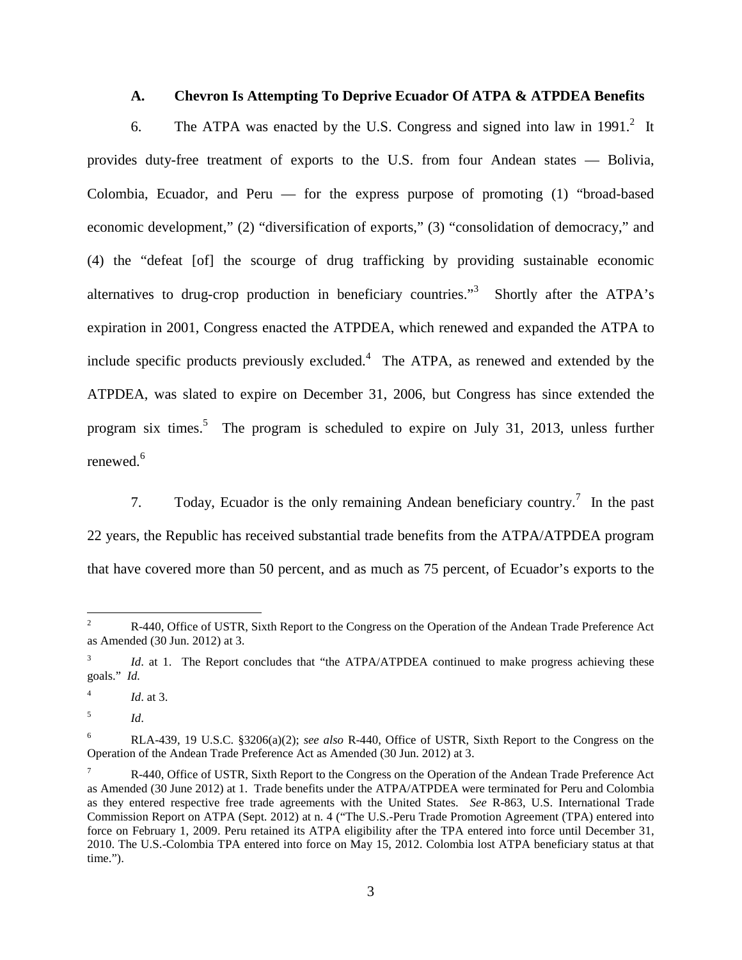#### **A. Chevron Is Attempting To Deprive Ecuador Of ATPA & ATPDEA Benefits**

6. The ATPA was enacted by the U.S. Congress and signed into law in  $1991<sup>2</sup>$  It provides duty-free treatment of exports to the U.S. from four Andean states — Bolivia, Colombia, Ecuador, and Peru — for the express purpose of promoting (1) "broad-based economic development," (2) "diversification of exports," (3) "consolidation of democracy," and (4) the "defeat [of] the scourge of drug trafficking by providing sustainable economic alternatives to drug-crop production in beneficiary countries."<sup>3</sup> Shortly after the ATPA's expiration in 2001, Congress enacted the ATPDEA, which renewed and expanded the ATPA to include specific products previously excluded. $4$  The ATPA, as renewed and extended by the ATPDEA, was slated to expire on December 31, 2006, but Congress has since extended the program six times.<sup>5</sup> The program is scheduled to expire on July 31, 2013, unless further renewed. $6$ 

7. Today, Ecuador is the only remaining Andean beneficiary country.<sup>7</sup> In the past 22 years, the Republic has received substantial trade benefits from the ATPA/ATPDEA program that have covered more than 50 percent, and as much as 75 percent, of Ecuador's exports to the

 $1d$ . at 3.

<sup>&</sup>lt;sup>2</sup> R-440, Office of USTR, Sixth Report to the Congress on the Operation of the Andean Trade Preference Act as Amended (30 Jun. 2012) at 3.

Id. at 1. The Report concludes that "the ATPA/ATPDEA continued to make progress achieving these goals." *Id.* 

<sup>5</sup> *Id*.

<sup>6</sup> RLA-439, 19 U.S.C. §3206(a)(2); *see also* R-440, Office of USTR, Sixth Report to the Congress on the Operation of the Andean Trade Preference Act as Amended (30 Jun. 2012) at 3.

<sup>7</sup> R-440, Office of USTR, Sixth Report to the Congress on the Operation of the Andean Trade Preference Act as Amended (30 June 2012) at 1. Trade benefits under the ATPA/ATPDEA were terminated for Peru and Colombia as they entered respective free trade agreements with the United States. *See* R-863, U.S. International Trade Commission Report on ATPA (Sept. 2012) at n. 4 ("The U.S.-Peru Trade Promotion Agreement (TPA) entered into force on February 1, 2009. Peru retained its ATPA eligibility after the TPA entered into force until December 31, 2010. The U.S.-Colombia TPA entered into force on May 15, 2012. Colombia lost ATPA beneficiary status at that time.").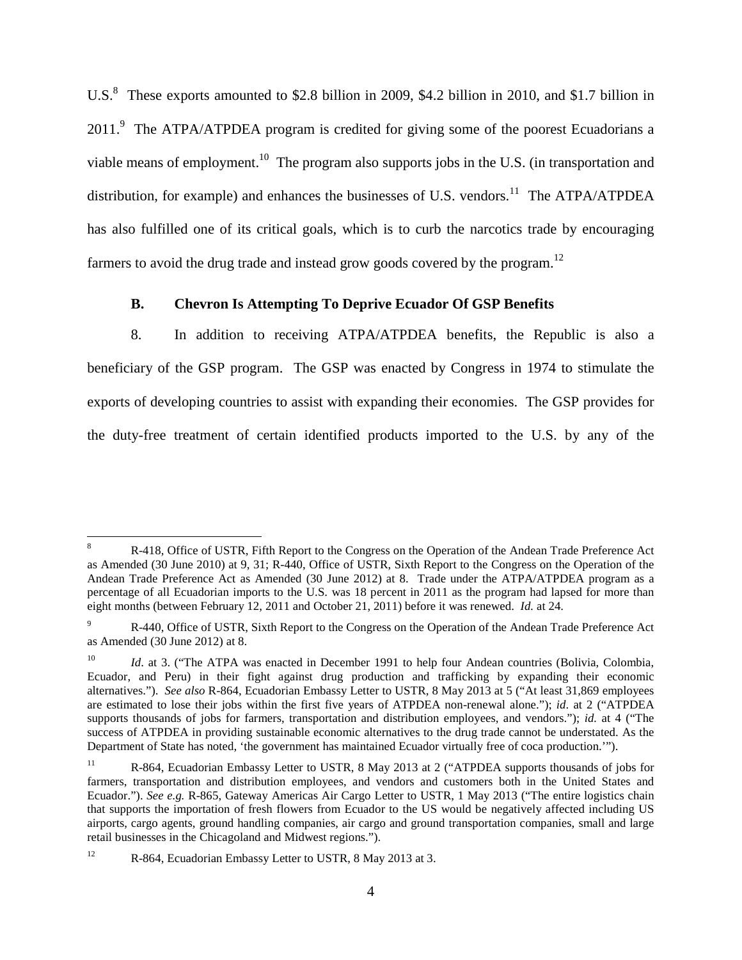U.S.<sup>8</sup> These exports amounted to \$2.8 billion in 2009, \$4.2 billion in 2010, and \$1.7 billion in  $2011$ . The ATPA/ATPDEA program is credited for giving some of the poorest Ecuadorians a viable means of employment.<sup>10</sup> The program also supports jobs in the U.S. (in transportation and distribution, for example) and enhances the businesses of U.S. vendors.<sup>11</sup> The ATPA/ATPDEA has also fulfilled one of its critical goals, which is to curb the narcotics trade by encouraging farmers to avoid the drug trade and instead grow goods covered by the program.<sup>12</sup>

#### **B. Chevron Is Attempting To Deprive Ecuador Of GSP Benefits**

8. In addition to receiving ATPA/ATPDEA benefits, the Republic is also a beneficiary of the GSP program. The GSP was enacted by Congress in 1974 to stimulate the exports of developing countries to assist with expanding their economies. The GSP provides for the duty-free treatment of certain identified products imported to the U.S. by any of the

 <sup>8</sup> R-418, Office of USTR, Fifth Report to the Congress on the Operation of the Andean Trade Preference Act as Amended (30 June 2010) at 9, 31; R-440, Office of USTR, Sixth Report to the Congress on the Operation of the Andean Trade Preference Act as Amended (30 June 2012) at 8. Trade under the ATPA/ATPDEA program as a percentage of all Ecuadorian imports to the U.S. was 18 percent in 2011 as the program had lapsed for more than eight months (between February 12, 2011 and October 21, 2011) before it was renewed. *Id.* at 24.

R-440, Office of USTR, Sixth Report to the Congress on the Operation of the Andean Trade Preference Act as Amended (30 June 2012) at 8.

*Id.* at 3. ("The ATPA was enacted in December 1991 to help four Andean countries (Bolivia, Colombia, Ecuador, and Peru) in their fight against drug production and trafficking by expanding their economic alternatives."). *See also* R-864, Ecuadorian Embassy Letter to USTR, 8 May 2013 at 5 ("At least 31,869 employees are estimated to lose their jobs within the first five years of ATPDEA non-renewal alone."); *id*. at 2 ("ATPDEA supports thousands of jobs for farmers, transportation and distribution employees, and vendors."); *id.* at 4 ("The success of ATPDEA in providing sustainable economic alternatives to the drug trade cannot be understated. As the Department of State has noted, 'the government has maintained Ecuador virtually free of coca production.'").

<sup>&</sup>lt;sup>11</sup> R-864, Ecuadorian Embassy Letter to USTR, 8 May 2013 at 2 ("ATPDEA supports thousands of jobs for farmers, transportation and distribution employees, and vendors and customers both in the United States and Ecuador."). *See e.g.* R-865, Gateway Americas Air Cargo Letter to USTR, 1 May 2013 ("The entire logistics chain that supports the importation of fresh flowers from Ecuador to the US would be negatively affected including US airports, cargo agents, ground handling companies, air cargo and ground transportation companies, small and large retail businesses in the Chicagoland and Midwest regions.").

<sup>&</sup>lt;sup>12</sup> R-864, Ecuadorian Embassy Letter to USTR, 8 May 2013 at 3.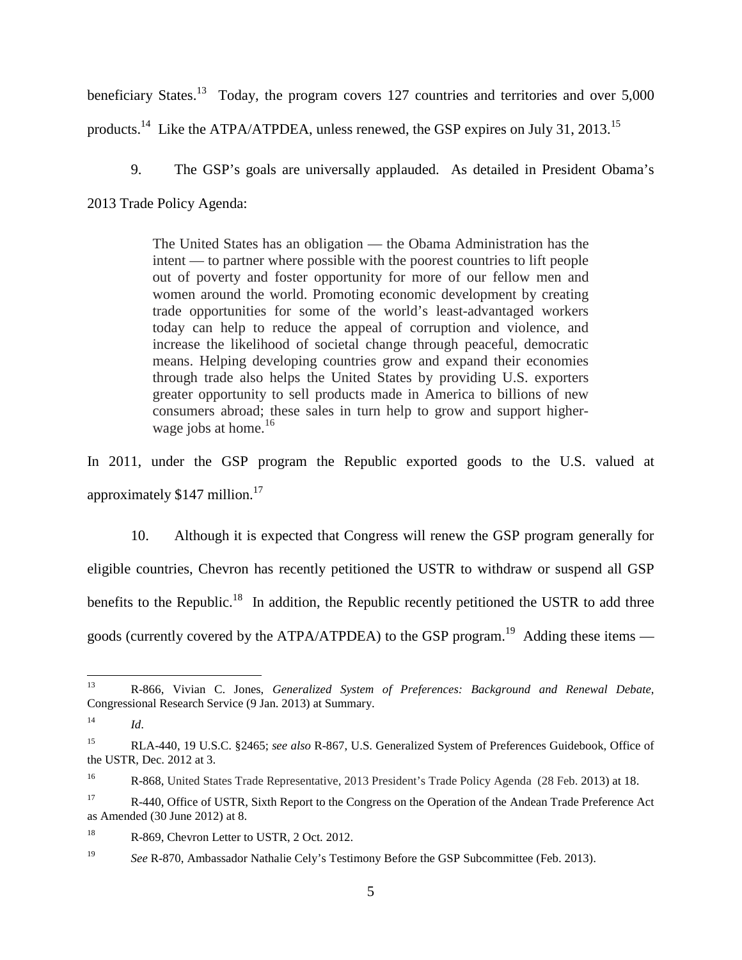beneficiary States.<sup>13</sup> Today, the program covers 127 countries and territories and over 5,000 products.14 Like the ATPA/ATPDEA, unless renewed, the GSP expires on July 31, 2013.<sup>15</sup>

9. The GSP's goals are universally applauded. As detailed in President Obama's

2013 Trade Policy Agenda:

The United States has an obligation — the Obama Administration has the intent — to partner where possible with the poorest countries to lift people out of poverty and foster opportunity for more of our fellow men and women around the world. Promoting economic development by creating trade opportunities for some of the world's least-advantaged workers today can help to reduce the appeal of corruption and violence, and increase the likelihood of societal change through peaceful, democratic means. Helping developing countries grow and expand their economies through trade also helps the United States by providing U.S. exporters greater opportunity to sell products made in America to billions of new consumers abroad; these sales in turn help to grow and support higherwage jobs at home.<sup>16</sup>

In 2011, under the GSP program the Republic exported goods to the U.S. valued at approximately \$147 million.17

10. Although it is expected that Congress will renew the GSP program generally for eligible countries, Chevron has recently petitioned the USTR to withdraw or suspend all GSP benefits to the Republic.<sup>18</sup> In addition, the Republic recently petitioned the USTR to add three goods (currently covered by the ATPA/ATPDEA) to the GSP program.<sup>19</sup> Adding these items —

 <sup>13</sup> R-866, Vivian C. Jones, *Generalized System of Preferences: Background and Renewal Debate*, Congressional Research Service (9 Jan. 2013) at Summary.

<sup>14</sup> *Id*.

<sup>15</sup> RLA-440, 19 U.S.C. §2465; *see also* R-867, U.S. Generalized System of Preferences Guidebook, Office of the USTR, Dec. 2012 at 3.

<sup>16</sup> R-868, United States Trade Representative, 2013 President's Trade Policy Agenda (28 Feb. 2013) at 18.

<sup>&</sup>lt;sup>17</sup> R-440, Office of USTR, Sixth Report to the Congress on the Operation of the Andean Trade Preference Act as Amended (30 June 2012) at 8.

<sup>&</sup>lt;sup>18</sup> R-869, Chevron Letter to USTR, 2 Oct. 2012.

<sup>&</sup>lt;sup>19</sup> *See R-870, Ambassador Nathalie Cely's Testimony Before the GSP Subcommittee (Feb. 2013).*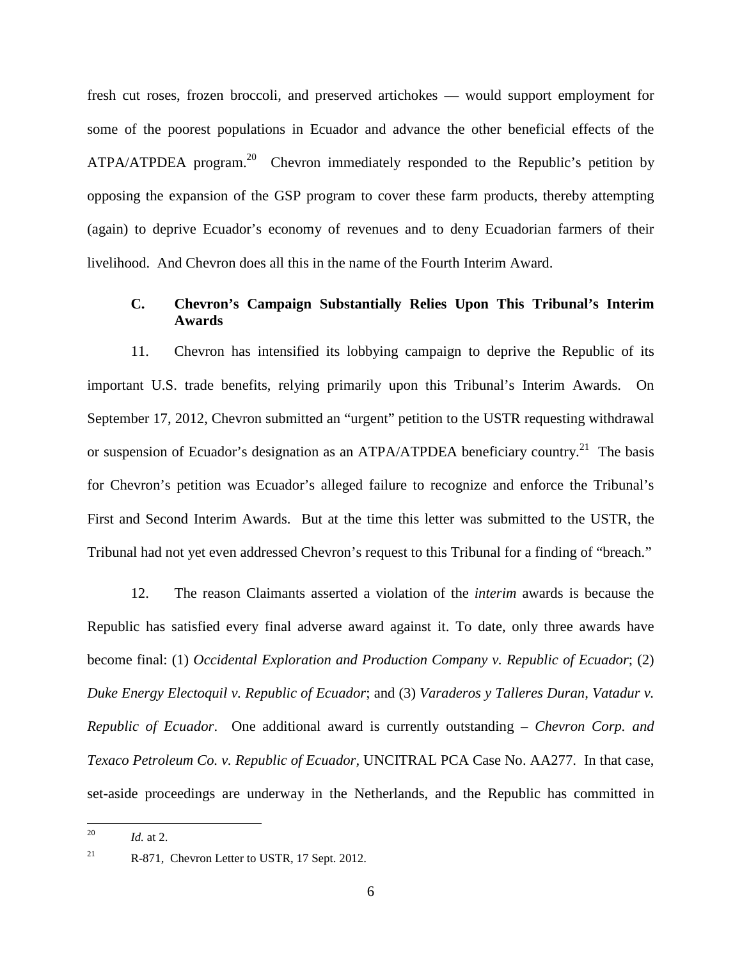fresh cut roses, frozen broccoli, and preserved artichokes — would support employment for some of the poorest populations in Ecuador and advance the other beneficial effects of the ATPA/ATPDEA program.<sup>20</sup> Chevron immediately responded to the Republic's petition by opposing the expansion of the GSP program to cover these farm products, thereby attempting (again) to deprive Ecuador's economy of revenues and to deny Ecuadorian farmers of their livelihood. And Chevron does all this in the name of the Fourth Interim Award.

### **C. Chevron's Campaign Substantially Relies Upon This Tribunal's Interim Awards**

11. Chevron has intensified its lobbying campaign to deprive the Republic of its important U.S. trade benefits, relying primarily upon this Tribunal's Interim Awards. On September 17, 2012, Chevron submitted an "urgent" petition to the USTR requesting withdrawal or suspension of Ecuador's designation as an ATPA/ATPDEA beneficiary country.<sup>21</sup> The basis for Chevron's petition was Ecuador's alleged failure to recognize and enforce the Tribunal's First and Second Interim Awards. But at the time this letter was submitted to the USTR, the Tribunal had not yet even addressed Chevron's request to this Tribunal for a finding of "breach."

12. The reason Claimants asserted a violation of the *interim* awards is because the Republic has satisfied every final adverse award against it. To date, only three awards have become final: (1) *Occidental Exploration and Production Company v. Republic of Ecuador*; (2) *Duke Energy Electoquil v. Republic of Ecuador*; and (3) *Varaderos y Talleres Duran, Vatadur v. Republic of Ecuador*. One additional award is currently outstanding – *Chevron Corp. and Texaco Petroleum Co. v. Republic of Ecuador,* UNCITRAL PCA Case No. AA277. In that case, set-aside proceedings are underway in the Netherlands, and the Republic has committed in

<sup>&</sup>lt;sup>20</sup> *Id.* at 2.

<sup>&</sup>lt;sup>21</sup> R-871, Chevron Letter to USTR, 17 Sept. 2012.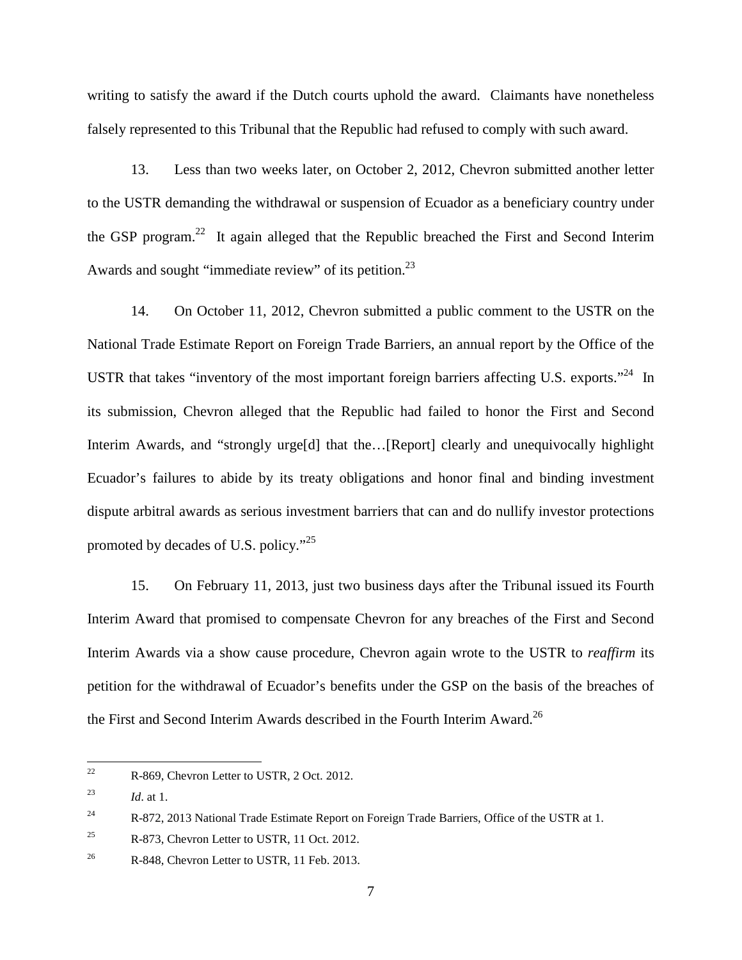writing to satisfy the award if the Dutch courts uphold the award. Claimants have nonetheless falsely represented to this Tribunal that the Republic had refused to comply with such award.

13. Less than two weeks later, on October 2, 2012, Chevron submitted another letter to the USTR demanding the withdrawal or suspension of Ecuador as a beneficiary country under the GSP program.22 It again alleged that the Republic breached the First and Second Interim Awards and sought "immediate review" of its petition.<sup>23</sup>

14. On October 11, 2012, Chevron submitted a public comment to the USTR on the National Trade Estimate Report on Foreign Trade Barriers, an annual report by the Office of the USTR that takes "inventory of the most important foreign barriers affecting U.S. exports."<sup>24</sup> In its submission, Chevron alleged that the Republic had failed to honor the First and Second Interim Awards, and "strongly urge<sup>[d]</sup> that the...[Report] clearly and unequivocally highlight Ecuador's failures to abide by its treaty obligations and honor final and binding investment dispute arbitral awards as serious investment barriers that can and do nullify investor protections promoted by decades of U.S. policy."<sup>25</sup>

15. On February 11, 2013, just two business days after the Tribunal issued its Fourth Interim Award that promised to compensate Chevron for any breaches of the First and Second Interim Awards via a show cause procedure, Chevron again wrote to the USTR to *reaffirm* its petition for the withdrawal of Ecuador's benefits under the GSP on the basis of the breaches of the First and Second Interim Awards described in the Fourth Interim Award.<sup>26</sup>

<sup>&</sup>lt;sup>22</sup> R-869, Chevron Letter to USTR, 2 Oct. 2012.

<sup>23</sup> *Id*. at 1.

<sup>&</sup>lt;sup>24</sup> R-872, 2013 National Trade Estimate Report on Foreign Trade Barriers, Office of the USTR at 1.

 $R-873$ , Chevron Letter to USTR, 11 Oct. 2012.

<sup>&</sup>lt;sup>26</sup> R-848, Chevron Letter to USTR, 11 Feb. 2013.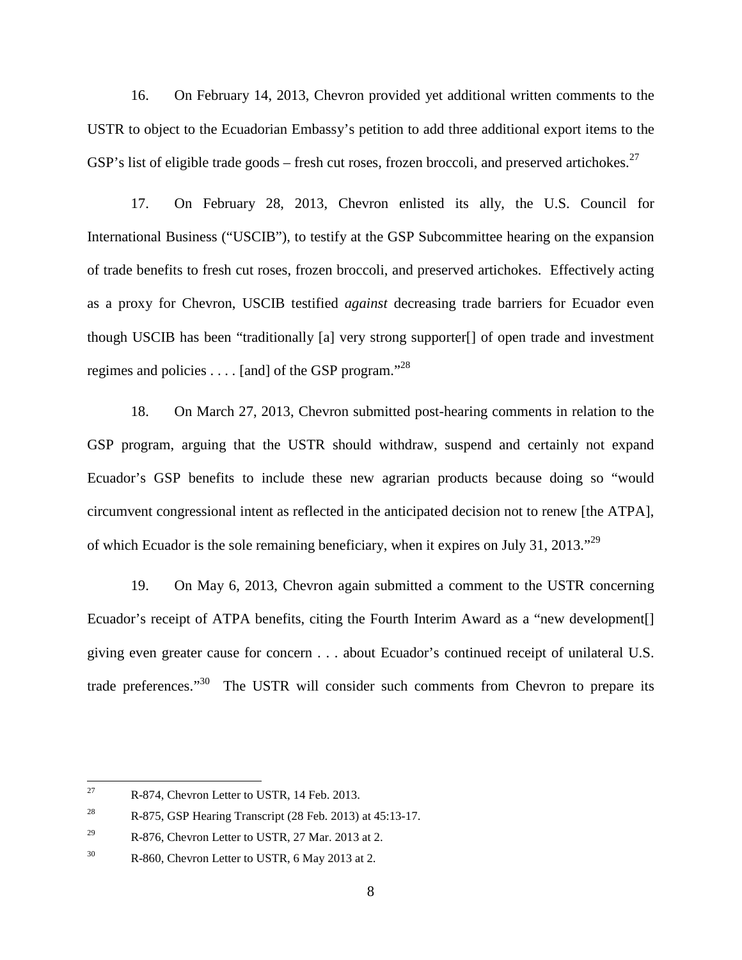16. On February 14, 2013, Chevron provided yet additional written comments to the USTR to object to the Ecuadorian Embassy's petition to add three additional export items to the GSP's list of eligible trade goods – fresh cut roses, frozen broccoli, and preserved artichokes.<sup>27</sup>

17. On February 28, 2013, Chevron enlisted its ally, the U.S. Council for International Business ("USCIB"), to testify at the GSP Subcommittee hearing on the expansion of trade benefits to fresh cut roses, frozen broccoli, and preserved artichokes. Effectively acting as a proxy for Chevron, USCIB testified *against* decreasing trade barriers for Ecuador even though USCIB has been "traditionally [a] very strong supporter[] of open trade and investment regimes and policies  $\dots$  [and] of the GSP program."<sup>28</sup>

18. On March 27, 2013, Chevron submitted post-hearing comments in relation to the GSP program, arguing that the USTR should withdraw, suspend and certainly not expand Ecuador's GSP benefits to include these new agrarian products because doing so "would circumvent congressional intent as reflected in the anticipated decision not to renew [the ATPA], of which Ecuador is the sole remaining beneficiary, when it expires on July 31, 2013."<sup>29</sup>

19. On May 6, 2013, Chevron again submitted a comment to the USTR concerning Ecuador's receipt of ATPA benefits, citing the Fourth Interim Award as a "new development<sup>[]</sup> giving even greater cause for concern . . . about Ecuador's continued receipt of unilateral U.S. trade preferences."<sup>30</sup> The USTR will consider such comments from Chevron to prepare its

 $R-874$ , Chevron Letter to USTR, 14 Feb. 2013.

<sup>&</sup>lt;sup>28</sup> R-875, GSP Hearing Transcript (28 Feb. 2013) at  $45:13-17$ .

 $R-876$ , Chevron Letter to USTR, 27 Mar. 2013 at 2.

<sup>&</sup>lt;sup>30</sup> R-860, Chevron Letter to USTR, 6 May 2013 at 2.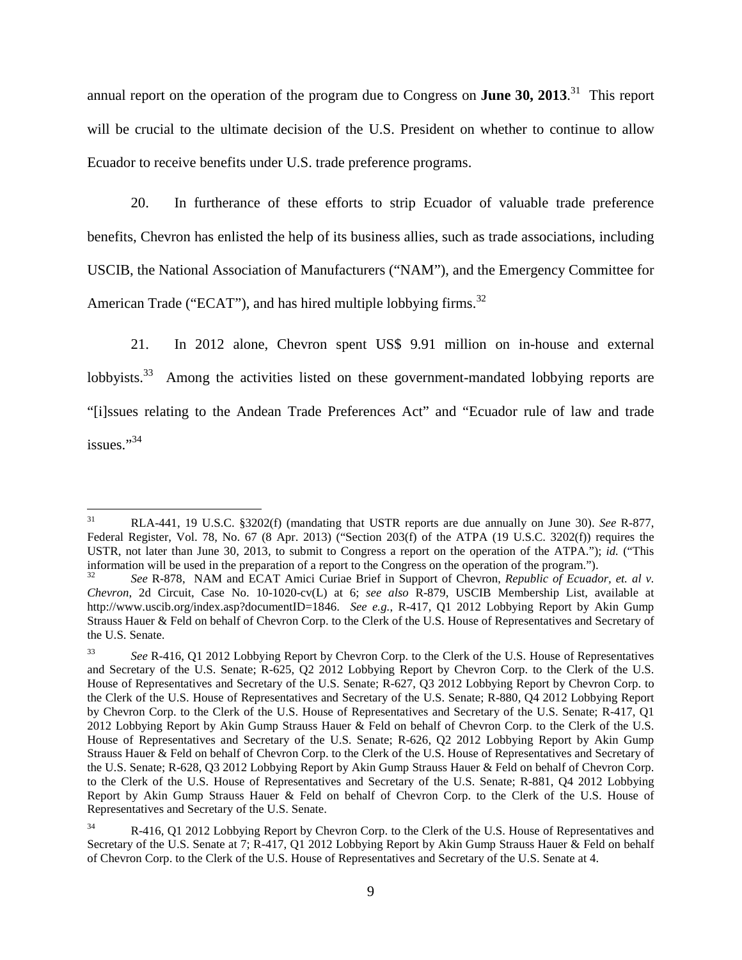annual report on the operation of the program due to Congress on **June 30, 2013**. 31 This report will be crucial to the ultimate decision of the U.S. President on whether to continue to allow Ecuador to receive benefits under U.S. trade preference programs.

20. In furtherance of these efforts to strip Ecuador of valuable trade preference benefits, Chevron has enlisted the help of its business allies, such as trade associations, including USCIB, the National Association of Manufacturers ("NAM"), and the Emergency Committee for American Trade ("ECAT"), and has hired multiple lobbying firms.<sup>32</sup>

21. In 2012 alone, Chevron spent US\$ 9.91 million on in-house and external lobbyists. $33$ Among the activities listed on these government-mandated lobbying reports are "[i]ssues relating to the Andean Trade Preferences Act" and "Ecuador rule of law and trade issues."<sup>34</sup>

 <sup>31</sup> RLA-441, 19 U.S.C. §3202(f) (mandating that USTR reports are due annually on June 30). *See* R-877, Federal Register, Vol. 78, No. 67 (8 Apr. 2013) ("Section 203(f) of the ATPA (19 U.S.C. 3202(f)) requires the USTR, not later than June 30, 2013, to submit to Congress a report on the operation of the ATPA."); *id.* ("This information will be used in the preparation of a report to the Congress on the operation of the program.").

<sup>32</sup> *See* R-878, NAM and ECAT Amici Curiae Brief in Support of Chevron, *Republic of Ecuador, et. al v. Chevron*, 2d Circuit, Case No. 10-1020-cv(L) at 6; *see also* R-879, USCIB Membership List, available at [http://www.uscib.org/index.asp?documentID=1846.](http://www.uscib.org/index.asp?documentID=1846) *See e.g.*, R-417, Q1 2012 Lobbying Report by Akin Gump Strauss Hauer & Feld on behalf of Chevron Corp. to the Clerk of the U.S. House of Representatives and Secretary of the U.S. Senate.

<sup>33</sup> *See* R-416, Q1 2012 Lobbying Report by Chevron Corp. to the Clerk of the U.S. House of Representatives and Secretary of the U.S. Senate; R-625, Q2 2012 Lobbying Report by Chevron Corp. to the Clerk of the U.S. House of Representatives and Secretary of the U.S. Senate; R-627, Q3 2012 Lobbying Report by Chevron Corp. to the Clerk of the U.S. House of Representatives and Secretary of the U.S. Senate; R-880, Q4 2012 Lobbying Report by Chevron Corp. to the Clerk of the U.S. House of Representatives and Secretary of the U.S. Senate; R-417, Q1 2012 Lobbying Report by Akin Gump Strauss Hauer & Feld on behalf of Chevron Corp. to the Clerk of the U.S. House of Representatives and Secretary of the U.S. Senate; R-626, Q2 2012 Lobbying Report by Akin Gump Strauss Hauer & Feld on behalf of Chevron Corp. to the Clerk of the U.S. House of Representatives and Secretary of the U.S. Senate; R-628, Q3 2012 Lobbying Report by Akin Gump Strauss Hauer & Feld on behalf of Chevron Corp. to the Clerk of the U.S. House of Representatives and Secretary of the U.S. Senate; R-881, Q4 2012 Lobbying Report by Akin Gump Strauss Hauer & Feld on behalf of Chevron Corp. to the Clerk of the U.S. House of Representatives and Secretary of the U.S. Senate.

<sup>&</sup>lt;sup>34</sup> R-416, Q1 2012 Lobbying Report by Chevron Corp. to the Clerk of the U.S. House of Representatives and Secretary of the U.S. Senate at 7; R-417, O1 2012 Lobbying Report by Akin Gump Strauss Hauer & Feld on behalf of Chevron Corp. to the Clerk of the U.S. House of Representatives and Secretary of the U.S. Senate at 4.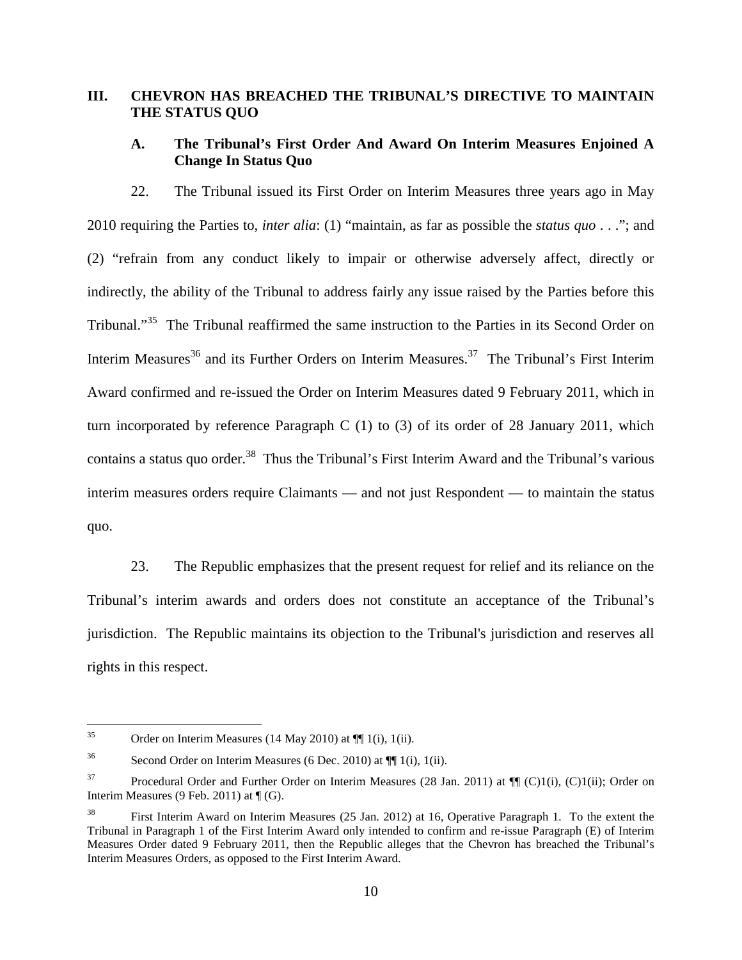### **III. CHEVRON HAS BREACHED THE TRIBUNAL'S DIRECTIVE TO MAINTAIN THE STATUS QUO**

### **A. The Tribunal's First Order And Award On Interim Measures Enjoined A Change In Status Quo**

22. The Tribunal issued its First Order on Interim Measures three years ago in May 2010 requiring the Parties to, *inter alia*: (1) "maintain, as far as possible the *status quo* . . ."; and (2) "refrain from any conduct likely to impair or otherwise adversely affect, directly or indirectly, the ability of the Tribunal to address fairly any issue raised by the Parties before this Tribunal."35 The Tribunal reaffirmed the same instruction to the Parties in its Second Order on Interim Measures<sup>36</sup> and its Further Orders on Interim Measures.<sup>37</sup> The Tribunal's First Interim Award confirmed and re-issued the Order on Interim Measures dated 9 February 2011, which in turn incorporated by reference Paragraph C (1) to (3) of its order of 28 January 2011, which contains a status quo order.<sup>38</sup> Thus the Tribunal's First Interim Award and the Tribunal's various interim measures orders require Claimants — and not just Respondent — to maintain the status quo.

23. The Republic emphasizes that the present request for relief and its reliance on the Tribunal's interim awards and orders does not constitute an acceptance of the Tribunal's jurisdiction. The Republic maintains its objection to the Tribunal's jurisdiction and reserves all rights in this respect.

<sup>&</sup>lt;sup>35</sup> Order on Interim Measures (14 May 2010) at  $\P$ [1(i), 1(ii).

<sup>&</sup>lt;sup>36</sup> Second Order on Interim Measures (6 Dec. 2010) at  $\P$  1(i), 1(ii).

 $37$  Procedural Order and Further Order on Interim Measures (28 Jan. 2011) at  $\P\P$  (C)1(i), (C)1(ii); Order on Interim Measures (9 Feb. 2011) at  $\P$  (G).

<sup>38</sup> First Interim Award on Interim Measures (25 Jan. 2012) at 16, Operative Paragraph 1. To the extent the Tribunal in Paragraph 1 of the First Interim Award only intended to confirm and re-issue Paragraph (E) of Interim Measures Order dated 9 February 2011, then the Republic alleges that the Chevron has breached the Tribunal's Interim Measures Orders, as opposed to the First Interim Award.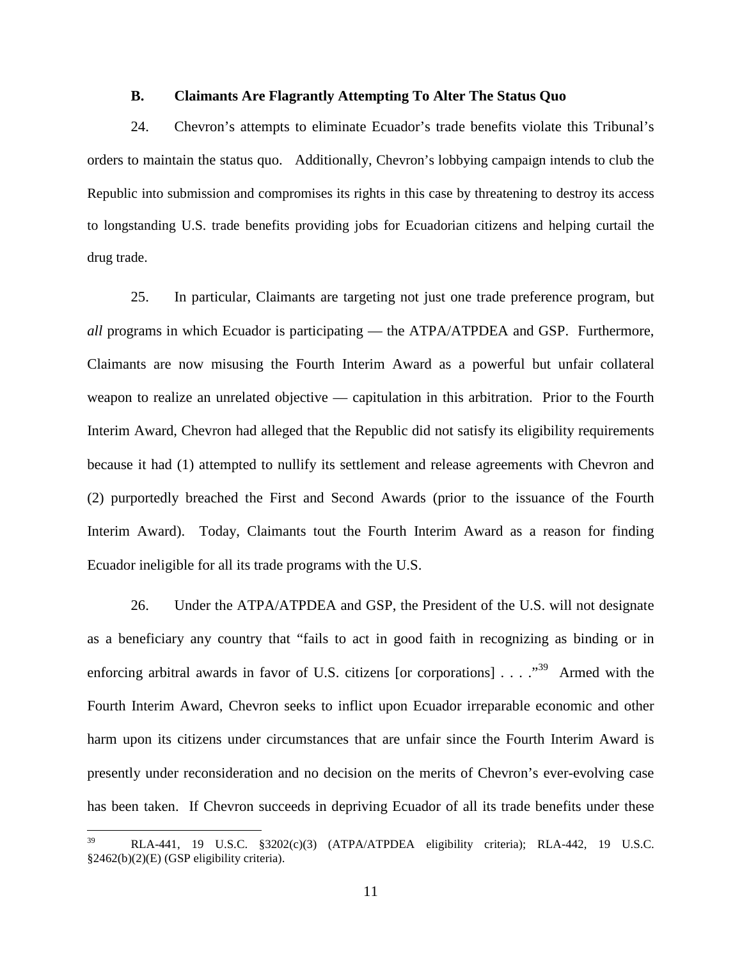#### **B. Claimants Are Flagrantly Attempting To Alter The Status Quo**

24. Chevron's attempts to eliminate Ecuador's trade benefits violate this Tribunal's orders to maintain the status quo. Additionally, Chevron's lobbying campaign intends to club the Republic into submission and compromises its rights in this case by threatening to destroy its access to longstanding U.S. trade benefits providing jobs for Ecuadorian citizens and helping curtail the drug trade.

25. In particular, Claimants are targeting not just one trade preference program, but *all* programs in which Ecuador is participating — the ATPA/ATPDEA and GSP. Furthermore, Claimants are now misusing the Fourth Interim Award as a powerful but unfair collateral weapon to realize an unrelated objective — capitulation in this arbitration. Prior to the Fourth Interim Award, Chevron had alleged that the Republic did not satisfy its eligibility requirements because it had (1) attempted to nullify its settlement and release agreements with Chevron and (2) purportedly breached the First and Second Awards (prior to the issuance of the Fourth Interim Award). Today, Claimants tout the Fourth Interim Award as a reason for finding Ecuador ineligible for all its trade programs with the U.S.

26. Under the ATPA/ATPDEA and GSP, the President of the U.S. will not designate as a beneficiary any country that "fails to act in good faith in recognizing as binding or in enforcing arbitral awards in favor of U.S. citizens [or corporations]  $\ldots$  ...<sup>39</sup> Armed with the Fourth Interim Award, Chevron seeks to inflict upon Ecuador irreparable economic and other harm upon its citizens under circumstances that are unfair since the Fourth Interim Award is presently under reconsideration and no decision on the merits of Chevron's ever-evolving case has been taken. If Chevron succeeds in depriving Ecuador of all its trade benefits under these

 <sup>39</sup> RLA-441, 19 U.S.C. §3202(c)(3) (ATPA/ATPDEA eligibility criteria); RLA-442, 19 U.S.C. §2462(b)(2)(E) (GSP eligibility criteria).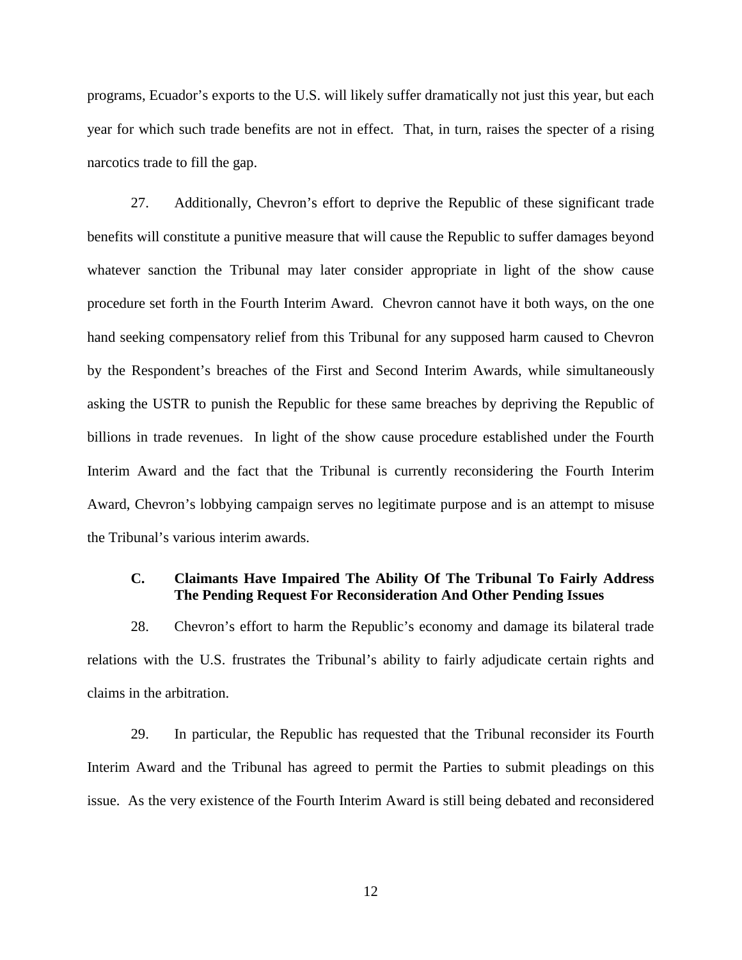programs, Ecuador's exports to the U.S. will likely suffer dramatically not just this year, but each year for which such trade benefits are not in effect. That, in turn, raises the specter of a rising narcotics trade to fill the gap.

27. Additionally, Chevron's effort to deprive the Republic of these significant trade benefits will constitute a punitive measure that will cause the Republic to suffer damages beyond whatever sanction the Tribunal may later consider appropriate in light of the show cause procedure set forth in the Fourth Interim Award. Chevron cannot have it both ways, on the one hand seeking compensatory relief from this Tribunal for any supposed harm caused to Chevron by the Respondent's breaches of the First and Second Interim Awards, while simultaneously asking the USTR to punish the Republic for these same breaches by depriving the Republic of billions in trade revenues. In light of the show cause procedure established under the Fourth Interim Award and the fact that the Tribunal is currently reconsidering the Fourth Interim Award, Chevron's lobbying campaign serves no legitimate purpose and is an attempt to misuse the Tribunal's various interim awards.

### **C. Claimants Have Impaired The Ability Of The Tribunal To Fairly Address The Pending Request For Reconsideration And Other Pending Issues**

28. Chevron's effort to harm the Republic's economy and damage its bilateral trade relations with the U.S. frustrates the Tribunal's ability to fairly adjudicate certain rights and claims in the arbitration.

29. In particular, the Republic has requested that the Tribunal reconsider its Fourth Interim Award and the Tribunal has agreed to permit the Parties to submit pleadings on this issue. As the very existence of the Fourth Interim Award is still being debated and reconsidered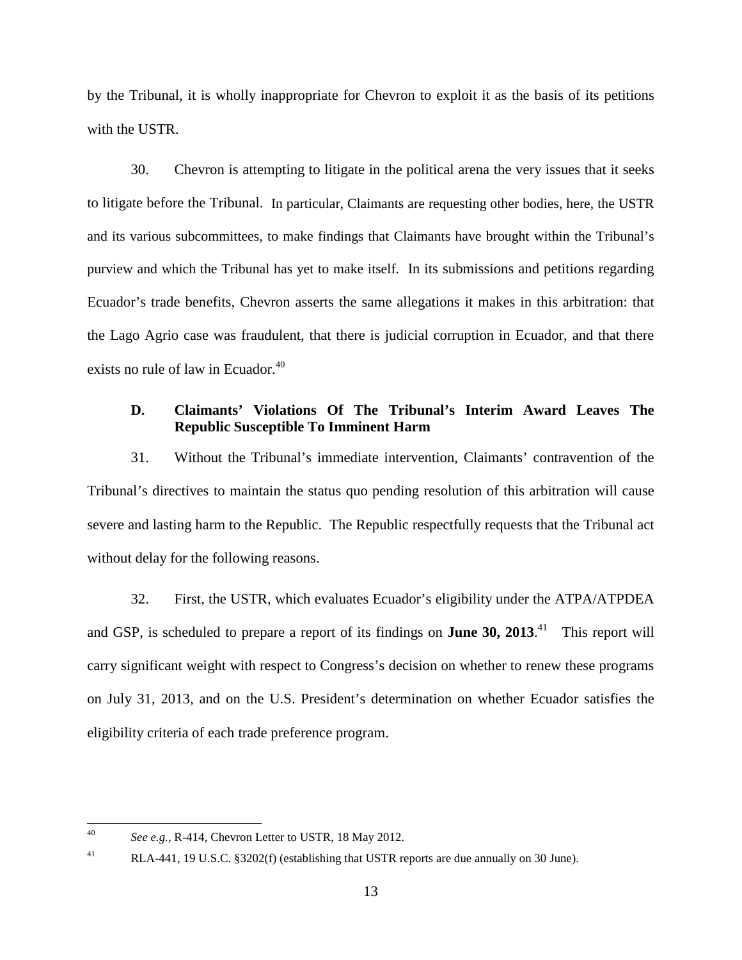by the Tribunal, it is wholly inappropriate for Chevron to exploit it as the basis of its petitions with the USTR.

30. Chevron is attempting to litigate in the political arena the very issues that it seeks to litigate before the Tribunal. In particular, Claimants are requesting other bodies, here, the USTR and its various subcommittees, to make findings that Claimants have brought within the Tribunal's purview and which the Tribunal has yet to make itself. In its submissions and petitions regarding Ecuador's trade benefits, Chevron asserts the same allegations it makes in this arbitration: that the Lago Agrio case was fraudulent, that there is judicial corruption in Ecuador, and that there exists no rule of law in Ecuador.<sup>40</sup>

# **D. Claimants' Violations Of The Tribunal's Interim Award Leaves The Republic Susceptible To Imminent Harm**

31. Without the Tribunal's immediate intervention, Claimants' contravention of the Tribunal's directives to maintain the status quo pending resolution of this arbitration will cause severe and lasting harm to the Republic. The Republic respectfully requests that the Tribunal act without delay for the following reasons.

32. First, the USTR, which evaluates Ecuador's eligibility under the ATPA/ATPDEA and GSP, is scheduled to prepare a report of its findings on **June 30, 2013**.<sup>41</sup> This report will carry significant weight with respect to Congress's decision on whether to renew these programs on July 31, 2013, and on the U.S. President's determination on whether Ecuador satisfies the eligibility criteria of each trade preference program.

 <sup>40</sup> *See e.g.*, R-414, Chevron Letter to USTR, 18 May 2012.

<sup>&</sup>lt;sup>41</sup> RLA-441, 19 U.S.C. §3202(f) (establishing that USTR reports are due annually on 30 June).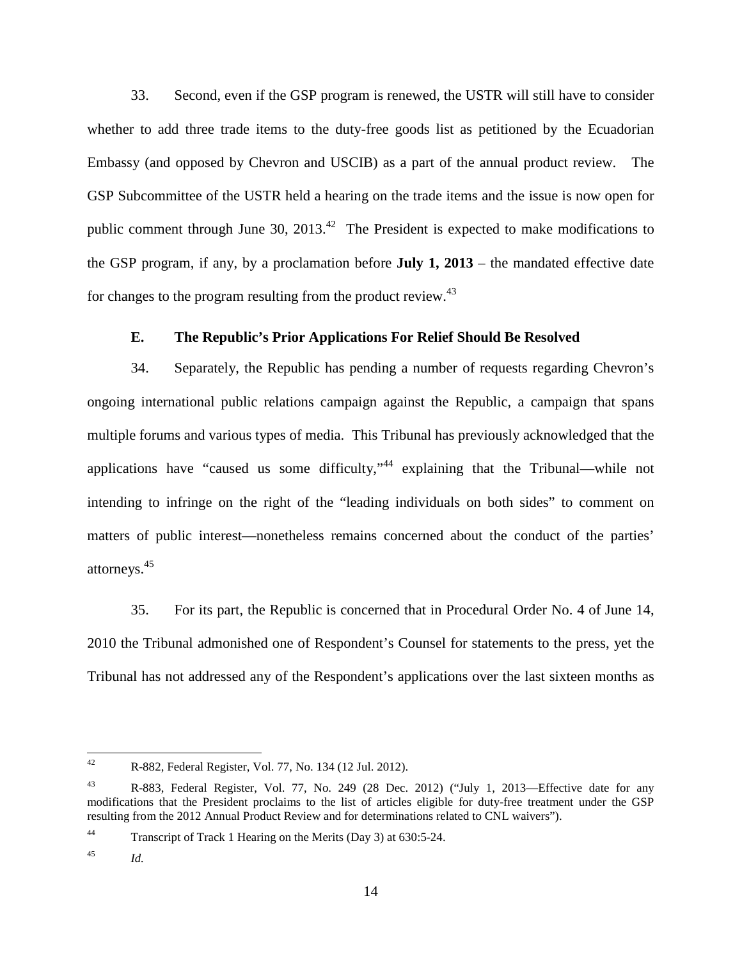33. Second, even if the GSP program is renewed, the USTR will still have to consider whether to add three trade items to the duty-free goods list as petitioned by the Ecuadorian Embassy (and opposed by Chevron and USCIB) as a part of the annual product review. The GSP Subcommittee of the USTR held a hearing on the trade items and the issue is now open for public comment through June 30,  $2013<sup>42</sup>$  The President is expected to make modifications to the GSP program, if any, by a proclamation before **July 1, 2013** – the mandated effective date for changes to the program resulting from the product review.<sup>43</sup>

### **E. The Republic's Prior Applications For Relief Should Be Resolved**

34. Separately, the Republic has pending a number of requests regarding Chevron's ongoing international public relations campaign against the Republic, a campaign that spans multiple forums and various types of media. This Tribunal has previously acknowledged that the applications have "caused us some difficulty,"<sup>44</sup> explaining that the Tribunal—while not intending to infringe on the right of the "leading individuals on both sides" to comment on matters of public interest—nonetheless remains concerned about the conduct of the parties' attorneys. 45

35. For its part, the Republic is concerned that in Procedural Order No. 4 of June 14, 2010 the Tribunal admonished one of Respondent's Counsel for statements to the press, yet the Tribunal has not addressed any of the Respondent's applications over the last sixteen months as

 <sup>42</sup> R-882, Federal Register, Vol. 77, No. 134 (12 Jul. 2012).

<sup>43</sup> R-883, Federal Register, Vol. 77, No. 249 (28 Dec. 2012) ("July 1, 2013—Effective date for any modifications that the President proclaims to the list of articles eligible for duty-free treatment under the GSP resulting from the 2012 Annual Product Review and for determinations related to CNL waivers").

<sup>44</sup> Transcript of Track 1 Hearing on the Merits (Day 3) at 630:5-24.

<sup>45</sup> *Id.*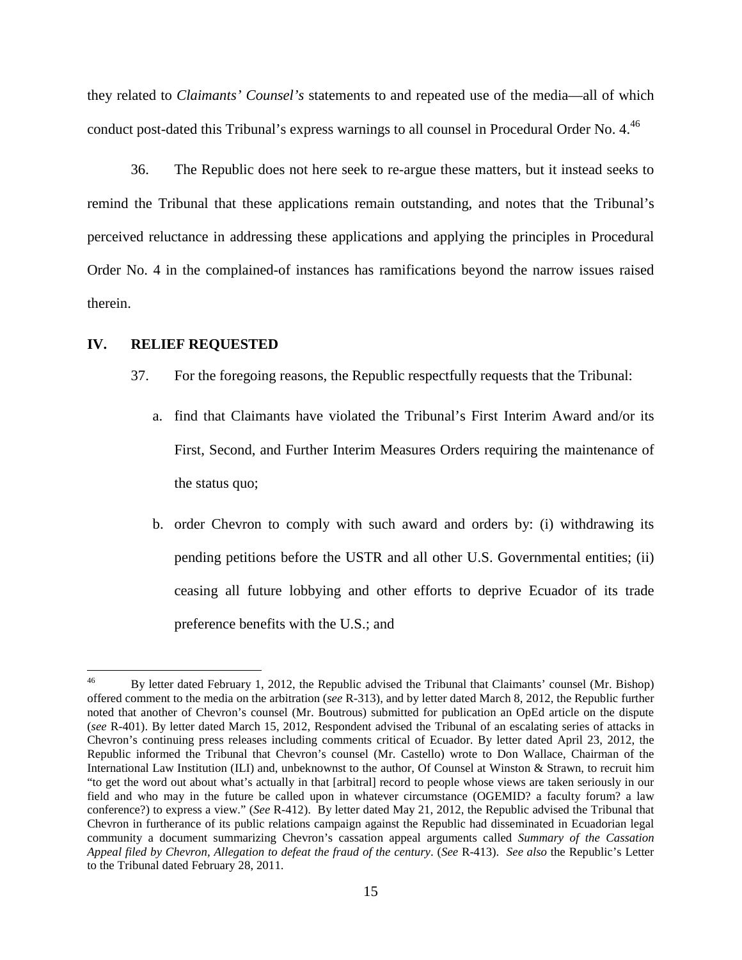they related to *Claimants' Counsel's* statements to and repeated use of the media—all of which conduct post-dated this Tribunal's express warnings to all counsel in Procedural Order No. 4.<sup>46</sup>

36. The Republic does not here seek to re-argue these matters, but it instead seeks to remind the Tribunal that these applications remain outstanding, and notes that the Tribunal's perceived reluctance in addressing these applications and applying the principles in Procedural Order No. 4 in the complained-of instances has ramifications beyond the narrow issues raised therein.

#### **IV. RELIEF REQUESTED**

- 37. For the foregoing reasons, the Republic respectfully requests that the Tribunal:
	- a. find that Claimants have violated the Tribunal's First Interim Award and/or its First, Second, and Further Interim Measures Orders requiring the maintenance of the status quo;
	- b. order Chevron to comply with such award and orders by: (i) withdrawing its pending petitions before the USTR and all other U.S. Governmental entities; (ii) ceasing all future lobbying and other efforts to deprive Ecuador of its trade preference benefits with the U.S.; and

<sup>&</sup>lt;sup>46</sup> By letter dated February 1, 2012, the Republic advised the Tribunal that Claimants' counsel (Mr. Bishop) offered comment to the media on the arbitration (*see* R-313), and by letter dated March 8, 2012, the Republic further noted that another of Chevron's counsel (Mr. Boutrous) submitted for publication an OpEd article on the dispute (*see* R-401). By letter dated March 15, 2012, Respondent advised the Tribunal of an escalating series of attacks in Chevron's continuing press releases including comments critical of Ecuador. By letter dated April 23, 2012, the Republic informed the Tribunal that Chevron's counsel (Mr. Castello) wrote to Don Wallace, Chairman of the International Law Institution (ILI) and, unbeknownst to the author, Of Counsel at Winston & Strawn, to recruit him "to get the word out about what's actually in that [arbitral] record to people whose views are taken seriously in our field and who may in the future be called upon in whatever circumstance (OGEMID? a faculty forum? a law conference?) to express a view." (*See* R-412). By letter dated May 21, 2012, the Republic advised the Tribunal that Chevron in furtherance of its public relations campaign against the Republic had disseminated in Ecuadorian legal community a document summarizing Chevron's cassation appeal arguments called *Summary of the Cassation Appeal filed by Chevron, Allegation to defeat the fraud of the century*. (*See* R-413). *See also* the Republic's Letter to the Tribunal dated February 28, 2011.